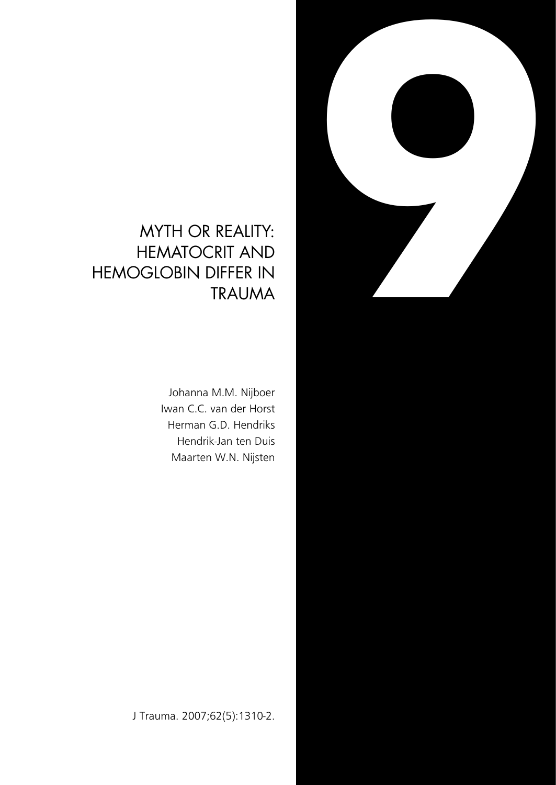### MYTH OR REALITY: HEMATOCRIT AND HEMOGLOBIN DIFFER IN TRAUMA

Johanna M.M. Nijboer Iwan C.C. van der Horst Herman G.D. Hendriks Hendrik-Jan ten Duis Maarten W.N. Nijsten **9**

J Trauma. 2007;62(5):1310-2.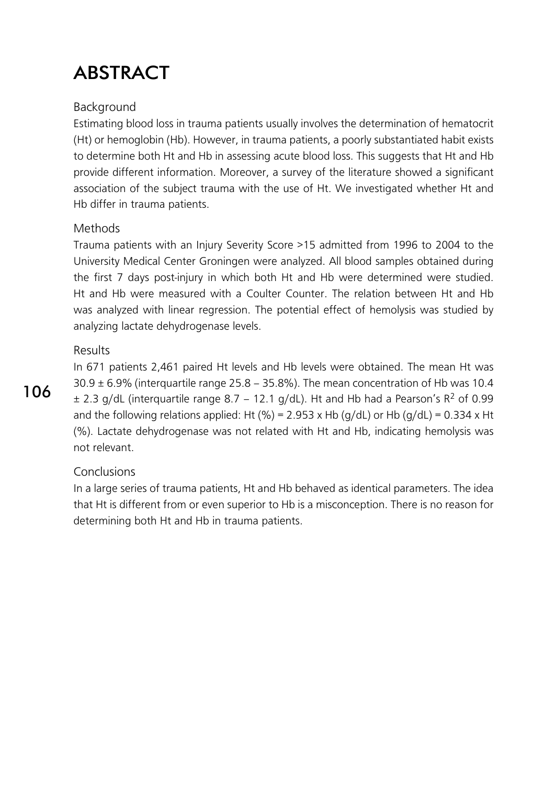# **ABSTRACT**

#### Background

Estimating blood loss in trauma patients usually involves the determination of hematocrit (Ht) or hemoglobin (Hb). However, in trauma patients, a poorly substantiated habit exists to determine both Ht and Hb in assessing acute blood loss. This suggests that Ht and Hb provide different information. Moreover, a survey of the literature showed a significant association of the subject trauma with the use of Ht. We investigated whether Ht and Hb differ in trauma patients.

#### Methods

Trauma patients with an Injury Severity Score >15 admitted from 1996 to 2004 to the University Medical Center Groningen were analyzed. All blood samples obtained during the first 7 days post-injury in which both Ht and Hb were determined were studied. Ht and Hb were measured with a Coulter Counter. The relation between Ht and Hb was analyzed with linear regression. The potential effect of hemolysis was studied by analyzing lactate dehydrogenase levels.

#### Results

In 671 patients 2,461 paired Ht levels and Hb levels were obtained. The mean Ht was  $30.9 \pm 6.9$ % (interquartile range 25.8 – 35.8%). The mean concentration of Hb was 10.4  $\pm$  2.3 g/dL (interguartile range 8.7 – 12.1 g/dL). Ht and Hb had a Pearson's R<sup>2</sup> of 0.99 and the following relations applied: Ht (%) = 2.953 x Hb (q/dL) or Hb (q/dL) = 0.334 x Ht (%). Lactate dehydrogenase was not related with Ht and Hb, indicating hemolysis was not relevant.

#### Conclusions

In a large series of trauma patients, Ht and Hb behaved as identical parameters. The idea that Ht is different from or even superior to Hb is a misconception. There is no reason for determining both Ht and Hb in trauma patients.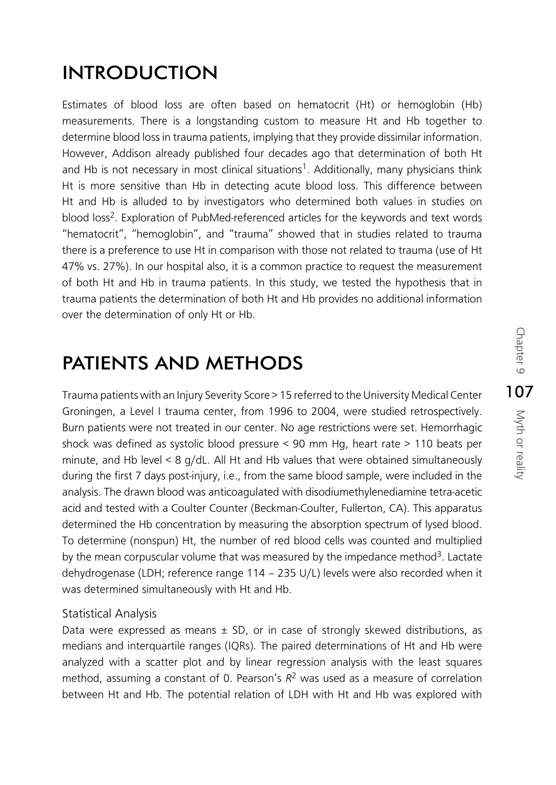## INTRODUCTION

Estimates of blood loss are often based on hematocrit (Ht) or hemoglobin (Hb) measurements. There is a longstanding custom to measure Ht and Hb together to determine blood loss in trauma patients, implying that they provide dissimilar information. However, Addison already published four decades ago that determination of both Ht and Hb is not necessary in most clinical situations<sup>1</sup>. Additionally, many physicians think Ht is more sensitive than Hb in detecting acute blood loss. This difference between Ht and Hb is alluded to by investigators who determined both values in studies on blood loss<sup>2</sup>. Exploration of PubMed-referenced articles for the keywords and text words "hematocrit", "hemoglobin", and "trauma" showed that in studies related to trauma there is a preference to use Ht in comparison with those not related to trauma (use of Ht 47% vs. 27%). In our hospital also, it is a common practice to request the measurement of both Ht and Hb in trauma patients. In this study, we tested the hypothesis that in trauma patients the determination of both Ht and Hb provides no additional information over the determination of only Ht or Hb.

### PATIENTS AND METHODS

Trauma patients with an Injury Severity Score > 15 referred to the University Medical Center Groningen, a Level I trauma center, from 1996 to 2004, were studied retrospectively. Burn patients were not treated in our center. No age restrictions were set. Hemorrhagic shock was defined as systolic blood pressure < 90 mm Hg, heart rate > 110 beats per minute, and Hb level < 8 g/dL. All Ht and Hb values that were obtained simultaneously during the first 7 days post-injury, i.e., from the same blood sample, were included in the analysis. The drawn blood was anticoagulated with disodiumethylenediamine tetra-acetic acid and tested with a Coulter Counter (Beckman-Coulter, Fullerton, CA). This apparatus determined the Hb concentration by measuring the absorption spectrum of lysed blood. To determine (nonspun) Ht, the number of red blood cells was counted and multiplied by the mean corpuscular volume that was measured by the impedance method<sup>3</sup>. Lactate dehydrogenase (LDH; reference range 114 – 235 U/L) levels were also recorded when it was determined simultaneously with Ht and Hb.

### Statistical Analysis

Data were expressed as means  $\pm$  SD, or in case of strongly skewed distributions, as medians and interquartile ranges (IQRs). The paired determinations of Ht and Hb were analyzed with a scatter plot and by linear regression analysis with the least squares method, assuming a constant of 0. Pearson's *R*2 was used as a measure of correlation between Ht and Hb. The potential relation of LDH with Ht and Hb was explored with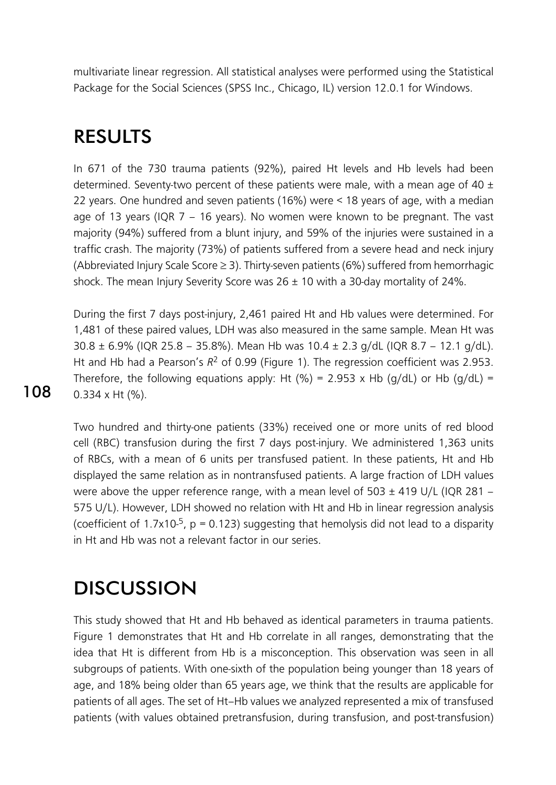multivariate linear regression. All statistical analyses were performed using the Statistical Package for the Social Sciences (SPSS Inc., Chicago, IL) version 12.0.1 for Windows.

### RESULTS

In 671 of the 730 trauma patients (92%), paired Ht levels and Hb levels had been determined. Seventy-two percent of these patients were male, with a mean age of 40  $\pm$ 22 years. One hundred and seven patients (16%) were < 18 years of age, with a median age of 13 years (IQR 7 – 16 years). No women were known to be pregnant. The vast majority (94%) suffered from a blunt injury, and 59% of the injuries were sustained in a traffic crash. The majority (73%) of patients suffered from a severe head and neck injury (Abbreviated Injury Scale Score ≥ 3). Thirty-seven patients (6%) suffered from hemorrhagic shock. The mean Injury Severity Score was  $26 \pm 10$  with a 30-day mortality of 24%.

During the first 7 days post-injury, 2,461 paired Ht and Hb values were determined. For 1,481 of these paired values, LDH was also measured in the same sample. Mean Ht was 30.8 ± 6.9% (IQR 25.8 – 35.8%). Mean Hb was 10.4 ± 2.3 g/dL (IQR 8.7 – 12.1 g/dL). Ht and Hb had a Pearson's  $R^2$  of 0.99 (Figure 1). The regression coefficient was 2.953. Therefore, the following equations apply: Ht (%) = 2.953 x Hb (q/dL) or Hb (q/dL) = 0.334 x Ht (%).

Two hundred and thirty-one patients (33%) received one or more units of red blood cell (RBC) transfusion during the first 7 days post-injury. We administered 1,363 units of RBCs, with a mean of 6 units per transfused patient. In these patients, Ht and Hb displayed the same relation as in nontransfused patients. A large fraction of LDH values were above the upper reference range, with a mean level of 503  $\pm$  419 U/L (IQR 281 – 575 U/L). However, LDH showed no relation with Ht and Hb in linear regression analysis (coefficient of 1.7x10-5, p *=* 0.123) suggesting that hemolysis did not lead to a disparity in Ht and Hb was not a relevant factor in our series.

## **DISCUSSION**

This study showed that Ht and Hb behaved as identical parameters in trauma patients. Figure 1 demonstrates that Ht and Hb correlate in all ranges, demonstrating that the idea that Ht is different from Hb is a misconception. This observation was seen in all subgroups of patients. With one-sixth of the population being younger than 18 years of age, and 18% being older than 65 years age, we think that the results are applicable for patients of all ages. The set of Ht–Hb values we analyzed represented a mix of transfused patients (with values obtained pretransfusion, during transfusion, and post-transfusion)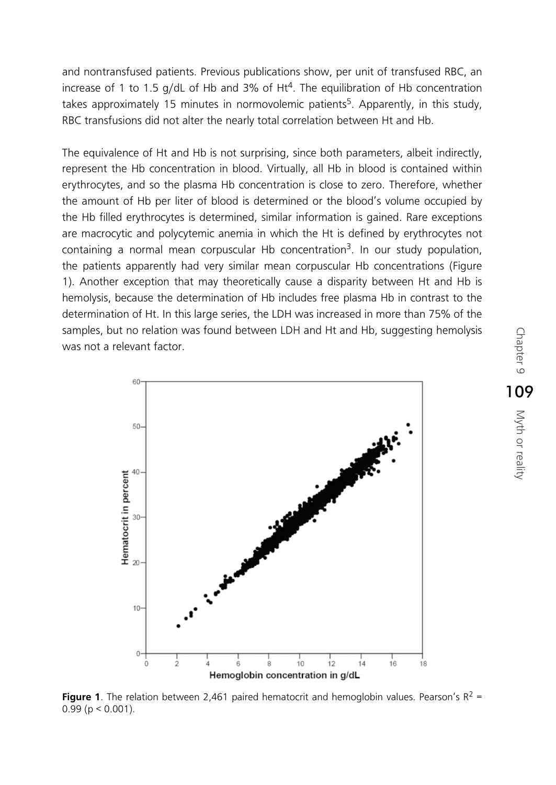and nontransfused patients. Previous publications show, per unit of transfused RBC, an increase of 1 to 1.5 g/dL of Hb and 3% of Ht<sup>4</sup>. The equilibration of Hb concentration takes approximately 15 minutes in normovolemic patients<sup>5</sup>. Apparently, in this study, RBC transfusions did not alter the nearly total correlation between Ht and Hb.

The equivalence of Ht and Hb is not surprising, since both parameters, albeit indirectly, represent the Hb concentration in blood. Virtually, all Hb in blood is contained within erythrocytes, and so the plasma Hb concentration is close to zero. Therefore, whether the amount of Hb per liter of blood is determined or the blood's volume occupied by the Hb filled erythrocytes is determined, similar information is gained. Rare exceptions are macrocytic and polycytemic anemia in which the Ht is defined by erythrocytes not containing a normal mean corpuscular Hb concentration<sup>3</sup>. In our study population, the patients apparently had very similar mean corpuscular Hb concentrations (Figure 1). Another exception that may theoretically cause a disparity between Ht and Hb is hemolysis, because the determination of Hb includes free plasma Hb in contrast to the determination of Ht. In this large series, the LDH was increased in more than 75% of the samples, but no relation was found between LDH and Ht and Hb, suggesting hemolysis was not a relevant factor.



**Figure 1**. The relation between 2,461 paired hematocrit and hemoglobin values. Pearson's  $R^2$  =  $0.99$  (p < 0.001).